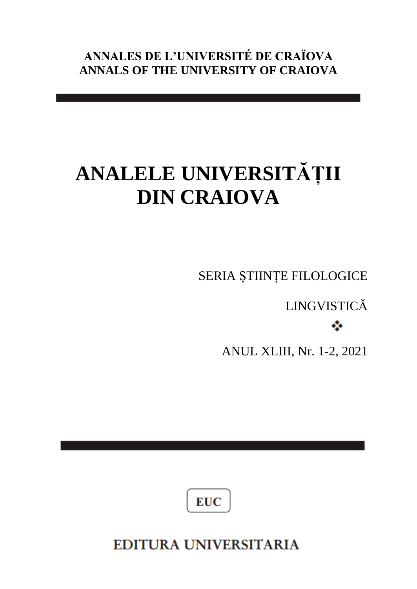**ANNALES DE L'UNIVERSITÉ DE CRAÏOVA ANNALS OF THE UNIVERSITY OF CRAIOVA** 

# **ANALELE UNIVERSITĂȚII DIN CRAIOVA**

SERIA ȘTIINȚE FILOLOGICE

LINGVISTICĂ ÷

ANUL XLIII, Nr. 1-2, 2021



**EDITURA UNIVERSITARIA**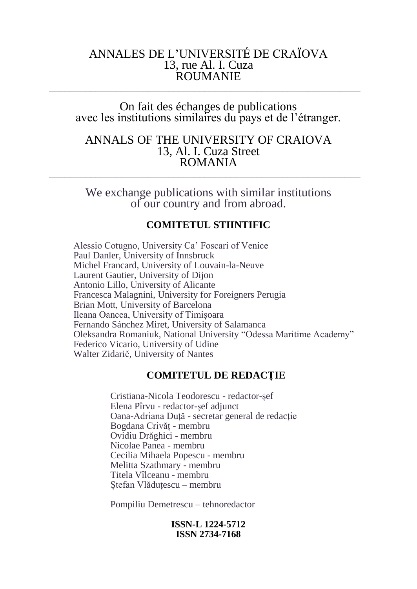## ANNALES DE L'UNIVERSITÉ DE CRAÏOVA 13, rue Al. I. Cuza ROUMANIE \_\_\_\_\_\_\_\_\_\_\_\_\_\_\_\_\_\_\_\_\_\_\_\_\_\_\_\_\_\_\_\_\_\_\_\_\_\_\_\_\_\_\_\_\_\_\_\_\_\_\_\_\_\_\_\_\_\_\_\_

On fait des échanges de publications avec les institutions similaires du pays et de l'étranger.

### ANNALS OF THE UNIVERSITY OF CRAIOVA 13, Al. I. Cuza Street ROMANIA \_\_\_\_\_\_\_\_\_\_\_\_\_\_\_\_\_\_\_\_\_\_\_\_\_\_\_\_\_\_\_\_\_\_\_\_\_\_\_\_\_\_\_\_\_\_\_\_\_\_\_\_\_\_\_\_\_\_\_\_

We exchange publications with similar institutions of our country and from abroad.

#### **COMITETUL STIINTIFIC**

Alessio Cotugno, University Ca' Foscari of Venice Paul Danler, University of Innsbruck Michel Francard, University of Louvain-la-Neuve Laurent Gautier, University of Dijon Antonio Lillo, University of Alicante Francesca Malagnini, University for Foreigners Perugia Brian Mott, University of Barcelona Ileana Oancea, University of Timișoara Fernando Sánchez Miret, University of Salamanca Oleksandra Romaniuk, National University "Odessa Maritime Academy" Federico Vicario, University of Udine Walter Zidarič, University of Nantes

#### **COMITETUL DE REDACȚIE**

Cristiana-Nicola Teodorescu - redactor-șef Elena Pîrvu - redactor-șef adjunct Oana-Adriana Duță - secretar general de redacție Bogdana Crivăț - membru Ovidiu Drăghici - membru Nicolae Panea - membru Cecilia Mihaela Popescu - membru Melitta Szathmary - membru Titela Vîlceanu - membru Ștefan Vlăduțescu – membru

Pompiliu Demetrescu – tehnoredactor

**ISSN-L 1224-5712 ISSN 2734-7168**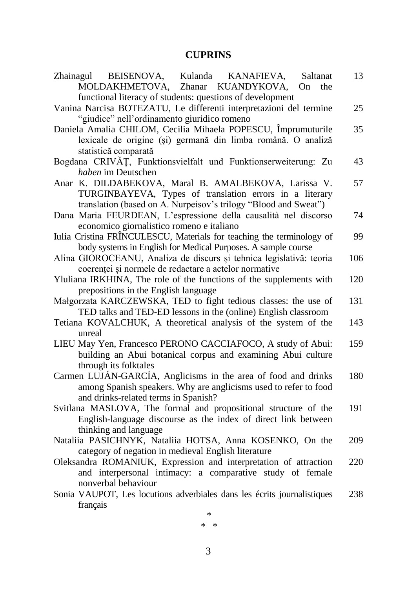# **CUPRINS**

| Zhainagul BEISENOVA,<br>Kulanda KANAFIEVA,<br>Saltanat<br>MOLDAKHMETOVA, Zhanar KUANDYKOVA,<br>On<br>the | 13  |
|----------------------------------------------------------------------------------------------------------|-----|
| functional literacy of students: questions of development                                                |     |
| Vanina Narcisa BOTEZATU, Le differenti interpretazioni del termine                                       | 25  |
| "giudice" nell'ordinamento giuridico romeno                                                              |     |
| Daniela Amalia CHILOM, Cecilia Mihaela POPESCU, Împrumuturile                                            | 35  |
| lexicale de origine (și) germană din limba română. O analiză                                             |     |
| statistică comparată                                                                                     |     |
| Bogdana CRIVĂȚ, Funktionsvielfalt und Funktionserweiterung: Zu                                           | 43  |
| haben im Deutschen                                                                                       |     |
| Anar K. DILDABEKOVA, Maral B. AMALBEKOVA, Larissa V.                                                     | 57  |
|                                                                                                          |     |
| TURGINBAYEVA, Types of translation errors in a literary                                                  |     |
| translation (based on A. Nurpeisov's trilogy "Blood and Sweat")                                          |     |
| Dana Maria FEURDEAN, L'espressione della causalità nel discorso                                          | 74  |
| economico giornalistico romeno e italiano                                                                |     |
| Iulia Cristina FRÎNCULESCU, Materials for teaching the terminology of                                    | 99  |
| body systems in English for Medical Purposes. A sample course                                            |     |
| Alina GIOROCEANU, Analiza de discurs și tehnica legislativă: teoria                                      | 106 |
| coerenței și normele de redactare a actelor normative                                                    |     |
| Yluliana IRKHINA, The role of the functions of the supplements with                                      | 120 |
| prepositions in the English language                                                                     |     |
| Małgorzata KARCZEWSKA, TED to fight tedious classes: the use of                                          | 131 |
| TED talks and TED-ED lessons in the (online) English classroom                                           |     |
| Tetiana KOVALCHUK, A theoretical analysis of the system of the                                           | 143 |
| unreal                                                                                                   |     |
| LIEU May Yen, Francesco PERONO CACCIAFOCO, A study of Abui:                                              | 159 |
|                                                                                                          |     |
| building an Abui botanical corpus and examining Abui culture                                             |     |
| through its folktales                                                                                    |     |
| Carmen LUJÁN-GARCÍA, Anglicisms in the area of food and drinks                                           | 180 |
| among Spanish speakers. Why are anglicisms used to refer to food                                         |     |
| and drinks-related terms in Spanish?                                                                     |     |
| Svitlana MASLOVA, The formal and propositional structure of the                                          | 191 |
| English-language discourse as the index of direct link between                                           |     |
| thinking and language                                                                                    |     |
| Nataliia PASICHNYK, Nataliia HOTSA, Anna KOSENKO, On the                                                 | 209 |
| category of negation in medieval English literature                                                      |     |
| Oleksandra ROMANIUK, Expression and interpretation of attraction                                         | 220 |
| and interpersonal intimacy: a comparative study of female                                                |     |
| nonverbal behaviour                                                                                      |     |
| Sonia VAUPOT, Les locutions adverbiales dans les écrits journalistiques                                  | 238 |
| français                                                                                                 |     |
| $\ast$                                                                                                   |     |
|                                                                                                          |     |

\* \*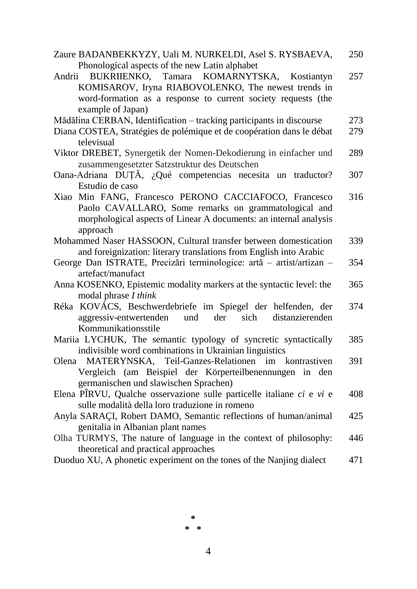| Zaure BADANBEKKYZY, Uali M. NURKELDI, Asel S. RYSBAEVA,               | 250 |
|-----------------------------------------------------------------------|-----|
| Phonological aspects of the new Latin alphabet                        |     |
| Andrii BUKRIIENKO, Tamara KOMARNYTSKA,<br>Kostiantyn                  | 257 |
| KOMISAROV, Iryna RIABOVOLENKO, The newest trends in                   |     |
| word-formation as a response to current society requests (the         |     |
| example of Japan)                                                     |     |
| Mădălina CERBAN, Identification - tracking participants in discourse  | 273 |
| Diana COSTEA, Stratégies de polémique et de coopération dans le débat | 279 |
| televisual                                                            |     |
| Viktor DREBET, Synergetik der Nomen-Dekodierung in einfacher und      | 289 |
| zusammengesetzter Satzstruktur des Deutschen                          |     |
| Oana-Adriana DUȚĂ, ¿Qué competencias necesita un traductor?           | 307 |
| Estudio de caso                                                       |     |
| Xiao Min FANG, Francesco PERONO CACCIAFOCO, Francesco                 | 316 |
| Paolo CAVALLARO, Some remarks on grammatological and                  |     |
| morphological aspects of Linear A documents: an internal analysis     |     |
| approach                                                              |     |
| Mohammed Naser HASSOON, Cultural transfer between domestication       | 339 |
| and foreignization: literary translations from English into Arabic    |     |
| George Dan ISTRATE, Precizări terminologice: artă – artist/artizan –  | 354 |
| artefact/manufact                                                     |     |
| Anna KOSENKO, Epistemic modality markers at the syntactic level: the  | 365 |
| modal phrase I think                                                  |     |
| Réka KOVÁCS, Beschwerdebriefe im Spiegel der helfenden, der           | 374 |
| und<br>der<br>sich<br>distanzierenden<br>aggressiv-entwertenden       |     |
| Kommunikationsstile                                                   |     |
| Mariia LYCHUK, The semantic typology of syncretic syntactically       | 385 |
| indivisible word combinations in Ukrainian linguistics                |     |
| Olena MATERYNSKA, Teil-Ganzes-Relationen<br>im kontrastiven           | 391 |
| Vergleich (am Beispiel der Körperteilbenennungen in den               |     |
| germanischen und slawischen Sprachen)                                 |     |
| Elena PÎRVU, Qualche osservazione sulle particelle italiane ci e vi e | 408 |
| sulle modalità della loro traduzione in romeno                        |     |
| Anyla SARAÇI, Robert DAMO, Semantic reflections of human/animal       | 425 |
| genitalia in Albanian plant names                                     |     |
| Olha TURMYS, The nature of language in the context of philosophy:     | 446 |
| theoretical and practical approaches                                  |     |
| Duoduo XU, A phonetic experiment on the tones of the Nanjing dialect  | 471 |

 $\ast$  $*$   $*$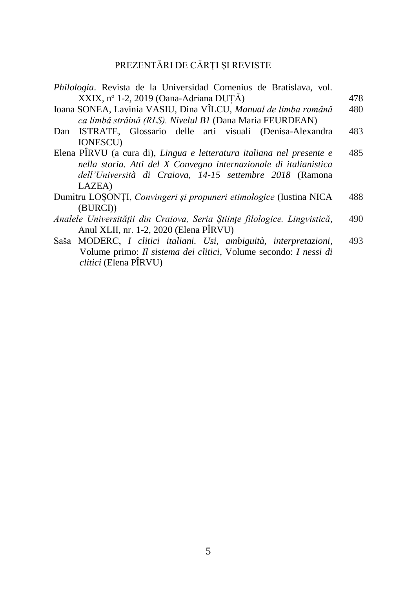# PREZENTĂRI DE CĂRŢI ŞI REVISTE

| Philologia. Revista de la Universidad Comenius de Bratislava, vol.                                                                                                                                               |     |
|------------------------------------------------------------------------------------------------------------------------------------------------------------------------------------------------------------------|-----|
| XXIX, nº 1-2, 2019 (Oana-Adriana DUTĂ)                                                                                                                                                                           | 478 |
| Ioana SONEA, Lavinia VASIU, Dina VÎLCU, Manual de limba română<br>ca limbă străină (RLS). Nivelul B1 (Dana Maria FEURDEAN)                                                                                       | 480 |
| Dan ISTRATE, Glossario delle arti visuali (Denisa-Alexandra<br><b>IONESCU)</b>                                                                                                                                   | 483 |
| Elena PÎRVU (a cura di), Lingua e letteratura italiana nel presente e<br>nella storia. Atti del X Convegno internazionale di italianistica<br>dell'Università di Craiova, 14-15 settembre 2018 (Ramona<br>LAZEA) | 485 |
| Dumitru LOSONȚI, Convingeri și propuneri etimologice (Iustina NICA                                                                                                                                               | 488 |
| (BURCI))                                                                                                                                                                                                         |     |
| Analele Universității din Craiova, Seria Științe filologice. Lingvistică,<br>Anul XLII, nr. 1-2, 2020 (Elena PÎRVU)                                                                                              | 490 |
| Saša MODERC, I clitici italiani. Usi, ambiguità, interpretazioni,<br>Volume primo: Il sistema dei clitici, Volume secondo: I nessi di                                                                            | 493 |

*clitici* (Elena PÎRVU)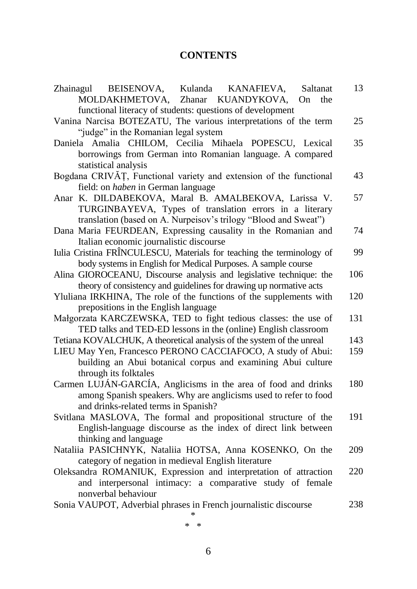# **CONTENTS**

| Kulanda KANAFIEVA,<br>Zhainagul BEISENOVA,<br>Saltanat                                                          | 13  |
|-----------------------------------------------------------------------------------------------------------------|-----|
| MOLDAKHMETOVA, Zhanar<br>KUANDYKOVA,<br>On<br>the                                                               |     |
| functional literacy of students: questions of development                                                       |     |
| Vanina Narcisa BOTEZATU, The various interpretations of the term                                                | 25  |
| "judge" in the Romanian legal system                                                                            |     |
| Daniela Amalia CHILOM, Cecilia Mihaela POPESCU, Lexical                                                         | 35  |
| borrowings from German into Romanian language. A compared                                                       |     |
| statistical analysis                                                                                            |     |
| Bogdana CRIVĂȚ, Functional variety and extension of the functional                                              | 43  |
| field: on <i>haben</i> in German language                                                                       |     |
| Anar K. DILDABEKOVA, Maral B. AMALBEKOVA, Larissa V.                                                            | 57  |
| TURGINBAYEVA, Types of translation errors in a literary                                                         |     |
| translation (based on A. Nurpeisov's trilogy "Blood and Sweat")                                                 |     |
| Dana Maria FEURDEAN, Expressing causality in the Romanian and                                                   | 74  |
| Italian economic journalistic discourse                                                                         |     |
| Iulia Cristina FRÎNCULESCU, Materials for teaching the terminology of                                           | 99  |
| body systems in English for Medical Purposes. A sample course                                                   |     |
| Alina GIOROCEANU, Discourse analysis and legislative technique: the                                             | 106 |
| theory of consistency and guidelines for drawing up normative acts                                              |     |
| Yluliana IRKHINA, The role of the functions of the supplements with                                             | 120 |
| prepositions in the English language                                                                            |     |
| Małgorzata KARCZEWSKA, TED to fight tedious classes: the use of                                                 | 131 |
| TED talks and TED-ED lessons in the (online) English classroom                                                  |     |
| Tetiana KOVALCHUK, A theoretical analysis of the system of the unreal                                           | 143 |
| LIEU May Yen, Francesco PERONO CACCIAFOCO, A study of Abui:                                                     | 159 |
| building an Abui botanical corpus and examining Abui culture                                                    |     |
| through its folktales                                                                                           |     |
| Carmen LUJÁN-GARCÍA, Anglicisms in the area of food and drinks                                                  | 180 |
| among Spanish speakers. Why are anglicisms used to refer to food                                                |     |
| and drinks-related terms in Spanish?                                                                            |     |
| Svitlana MASLOVA, The formal and propositional structure of the                                                 | 191 |
| English-language discourse as the index of direct link between                                                  |     |
| thinking and language                                                                                           | 209 |
| Nataliia PASICHNYK, Nataliia HOTSA, Anna KOSENKO, On the<br>category of negation in medieval English literature |     |
| Oleksandra ROMANIUK, Expression and interpretation of attraction                                                | 220 |
| and interpersonal intimacy: a comparative study of female                                                       |     |
| nonverbal behaviour                                                                                             |     |
| Sonia VAUPOT, Adverbial phrases in French journalistic discourse                                                | 238 |
|                                                                                                                 |     |
|                                                                                                                 |     |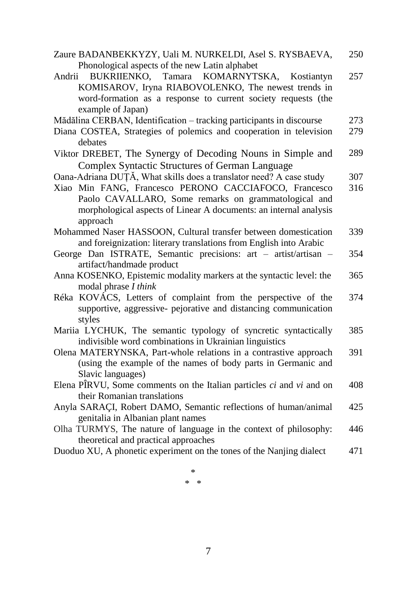| Zaure BADANBEKKYZY, Uali M. NURKELDI, Asel S. RYSBAEVA,                  | 250 |
|--------------------------------------------------------------------------|-----|
| Phonological aspects of the new Latin alphabet                           |     |
| Andrii BUKRIIENKO, Tamara KOMARNYTSKA, Kostiantyn                        | 257 |
| KOMISAROV, Iryna RIABOVOLENKO, The newest trends in                      |     |
| word-formation as a response to current society requests (the            |     |
| example of Japan)                                                        |     |
| Mădălina CERBAN, Identification - tracking participants in discourse     | 273 |
| Diana COSTEA, Strategies of polemics and cooperation in television       | 279 |
| debates                                                                  |     |
| Viktor DREBET, The Synergy of Decoding Nouns in Simple and               | 289 |
| <b>Complex Syntactic Structures of German Language</b>                   |     |
| Oana-Adriana DUȚĂ, What skills does a translator need? A case study      | 307 |
| Xiao Min FANG, Francesco PERONO CACCIAFOCO, Francesco                    | 316 |
| Paolo CAVALLARO, Some remarks on grammatological and                     |     |
| morphological aspects of Linear A documents: an internal analysis        |     |
| approach                                                                 |     |
| Mohammed Naser HASSOON, Cultural transfer between domestication          | 339 |
| and foreignization: literary translations from English into Arabic       |     |
| George Dan ISTRATE, Semantic precisions: art - artist/artisan -          | 354 |
| artifact/handmade product                                                |     |
| Anna KOSENKO, Epistemic modality markers at the syntactic level: the     | 365 |
| modal phrase I think                                                     |     |
| Réka KOVÁCS, Letters of complaint from the perspective of the            | 374 |
| supportive, aggressive- pejorative and distancing communication          |     |
| styles                                                                   |     |
| Mariia LYCHUK, The semantic typology of syncretic syntactically          | 385 |
| indivisible word combinations in Ukrainian linguistics                   |     |
| Olena MATERYNSKA, Part-whole relations in a contrastive approach         | 391 |
| (using the example of the names of body parts in Germanic and            |     |
| Slavic languages)                                                        |     |
| Elena PÎRVU, Some comments on the Italian particles $ci$ and $vi$ and on | 408 |
| their Romanian translations                                              |     |
| Anyla SARAÇI, Robert DAMO, Semantic reflections of human/animal          | 425 |
| genitalia in Albanian plant names                                        |     |
| Olha TURMYS, The nature of language in the context of philosophy:        | 446 |
| theoretical and practical approaches                                     |     |
| Duoduo XU, A phonetic experiment on the tones of the Nanjing dialect     | 471 |
|                                                                          |     |

\* \* \*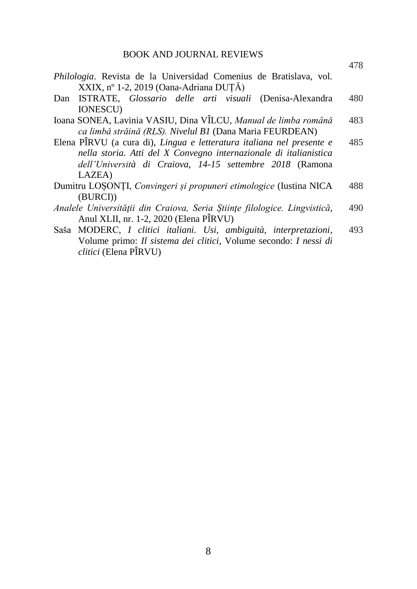478

| Philologia. Revista de la Universidad Comenius de Bratislava, vol.        |     |
|---------------------------------------------------------------------------|-----|
| XXIX, nº 1-2, 2019 (Oana-Adriana DUTĂ)                                    |     |
| Dan ISTRATE, Glossario delle arti visuali (Denisa-Alexandra               | 480 |
| <b>IONESCU)</b>                                                           |     |
| Ioana SONEA, Lavinia VASIU, Dina VÎLCU, Manual de limba română            | 483 |
| ca limbă străină (RLS). Nivelul B1 (Dana Maria FEURDEAN)                  |     |
| Elena PÎRVU (a cura di), Lingua e letteratura italiana nel presente e     | 485 |
| nella storia. Atti del X Convegno internazionale di italianistica         |     |
| dell'Università di Craiova, 14-15 settembre 2018 (Ramona                  |     |
| LAZEA)                                                                    |     |
| Dumitru LOSONȚI, Convingeri și propuneri etimologice (Iustina NICA        | 488 |
| (BURCI))                                                                  |     |
| Analele Universității din Craiova, Seria Științe filologice. Lingvistică, | 490 |
| Anul XLII, nr. 1-2, 2020 (Elena PÎRVU)                                    |     |
| Saša MODERC, I clitici italiani. Usi, ambiguità, interpretazioni,         | 493 |
| Volume primo: Il sistema dei clitici, Volume secondo: I nessi di          |     |

*clitici* (Elena PÎRVU)

8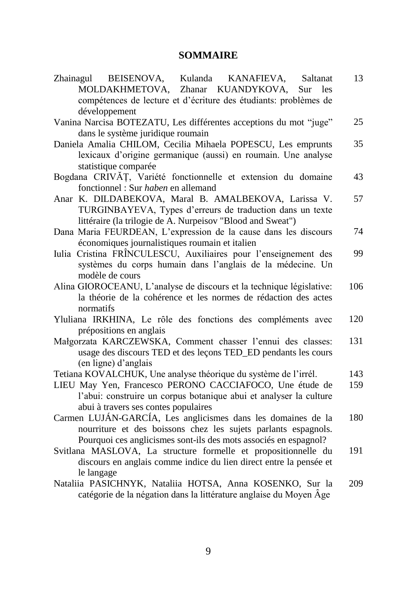# **SOMMAIRE**

| Zhainagul BEISENOVA, Kulanda KANAFIEVA,<br>Saltanat                  | 13  |
|----------------------------------------------------------------------|-----|
| MOLDAKHMETOVA, Zhanar KUANDYKOVA,<br>Sur<br><i>les</i>               |     |
| compétences de lecture et d'écriture des étudiants: problèmes de     |     |
| développement                                                        |     |
| Vanina Narcisa BOTEZATU, Les différentes acceptions du mot "juge"    | 25  |
| dans le système juridique roumain                                    |     |
| Daniela Amalia CHILOM, Cecilia Mihaela POPESCU, Les emprunts         | 35  |
| lexicaux d'origine germanique (aussi) en roumain. Une analyse        |     |
| statistique comparée                                                 |     |
| Bogdana CRIVĂȚ, Variété fonctionnelle et extension du domaine        | 43  |
| fonctionnel : Sur haben en allemand                                  |     |
| Anar K. DILDABEKOVA, Maral B. AMALBEKOVA, Larissa V.                 | 57  |
| TURGINBAYEVA, Types d'erreurs de traduction dans un texte            |     |
| littéraire (la trilogie de A. Nurpeisov "Blood and Sweat")           |     |
| Dana Maria FEURDEAN, L'expression de la cause dans les discours      | 74  |
| économiques journalistiques roumain et italien                       |     |
| Iulia Cristina FRÎNCULESCU, Auxiliaires pour l'enseignement des      | 99  |
| systèmes du corps humain dans l'anglais de la médecine. Un           |     |
| modèle de cours                                                      |     |
| Alina GIOROCEANU, L'analyse de discours et la technique législative: | 106 |
| la théorie de la cohérence et les normes de rédaction des actes      |     |
| normatifs                                                            |     |
| Yluliana IRKHINA, Le rôle des fonctions des compléments avec         | 120 |
| prépositions en anglais                                              |     |
| Małgorzata KARCZEWSKA, Comment chasser l'ennui des classes:          | 131 |
| usage des discours TED et des leçons TED_ED pendants les cours       |     |
| (en ligne) d'anglais                                                 |     |
| Tetiana KOVALCHUK, Une analyse théorique du système de l'irrél.      | 143 |
| LIEU May Yen, Francesco PERONO CACCIAFOCO, Une étude de              | 159 |
| l'abui: construire un corpus botanique abui et analyser la culture   |     |
| abui à travers ses contes populaires                                 |     |
| Carmen LUJÁN-GARCÍA, Les anglicismes dans les domaines de la         | 180 |
| nourriture et des boissons chez les sujets parlants espagnols.       |     |
| Pourquoi ces anglicismes sont-ils des mots associés en espagnol?     |     |
| Svitlana MASLOVA, La structure formelle et propositionnelle du       | 191 |
| discours en anglais comme indice du lien direct entre la pensée et   |     |
| le langage                                                           |     |
| Nataliia PASICHNYK, Nataliia HOTSA, Anna KOSENKO, Sur la             | 209 |
| catégorie de la négation dans la littérature anglaise du Moyen Âge   |     |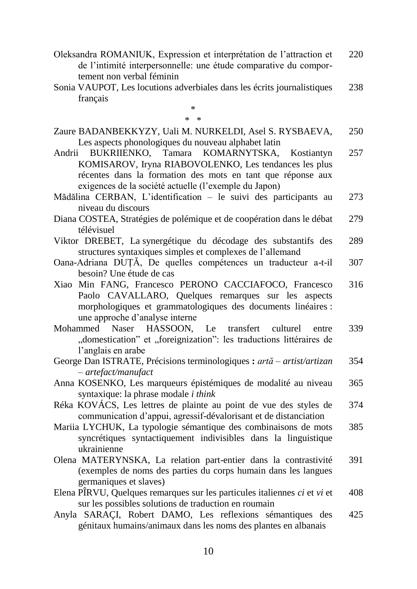Oleksandra ROMANIUK, Expression et interprétation de l'attraction et de l'intimité interpersonnelle: une étude comparative du comportement non verbal féminin 220

Sonia VAUPOT, Les locutions adverbiales dans les écrits journalistiques français 238

\* \* \*

| Zaure BADANBEKKYZY, Uali M. NURKELDI, Asel S. RYSBAEVA, | 250 |
|---------------------------------------------------------|-----|
| Les aspects phonologiques du nouveau alphabet latin     |     |

- Andrii BUKRIIENKO, Tamara KOMARNYTSKA, Kostiantyn KOMISAROV, Iryna RIABOVOLENKO, Les tendances les plus récentes dans la formation des mots en tant que réponse aux exigences de la société actuelle (l'exemple du Japon) 257
- Mădălina CERBAN, L'identification le suivi des participants au niveau du discours 273
- Diana COSTEA, Stratégies de polémique et de coopération dans le débat télévisuel 279
- Viktor DREBET, La synergétique du décodage des substantifs des structures syntaxiques simples et complexes de l'allemand 289
- Oana-Adriana DUȚĂ, De quelles compétences un traducteur a-t-il besoin? Une étude de cas 307
- Xiao Min FANG, Francesco PERONO CACCIAFOCO, Francesco Paolo CAVALLARO, Quelques remarques sur les aspects morphologiques et grammatologiques des documents linéaires : une approche d'analyse interne 316
- Mohammed Naser HASSOON, Le transfert culturel entre "domestication" et "foreignization": les traductions littéraires de l'anglais en arabe 339
- George Dan ISTRATE, Précisions terminologiques **:** *artă – artist/artizan – artefact/manufact* 354
- Anna KOSENKO, Les marqueurs épistémiques de modalité au niveau syntaxique: la phrase modale *i think* 365
- Réka KOVÁCS, Les lettres de plainte au point de vue des styles de communication d'appui, agressif-dévalorisant et de distanciation 374
- Mariia LYCHUK, La typologie sémantique des combinaisons de mots syncrétiques syntactiquement indivisibles dans la linguistique ukrainienne 385
- Olena MATERYNSKA, La relation part-entier dans la contrastivité (exemples de noms des parties du corps humain dans les langues germaniques et slaves) 391
- Elena PÎRVU, Quelques remarques sur les particules italiennes *ci* et *vi* et sur les possibles solutions de traduction en roumain 408
- Anyla SARAÇI, Robert DAMO, Les reflexions sémantiques des génitaux humains/animaux dans les noms des plantes en albanais 425